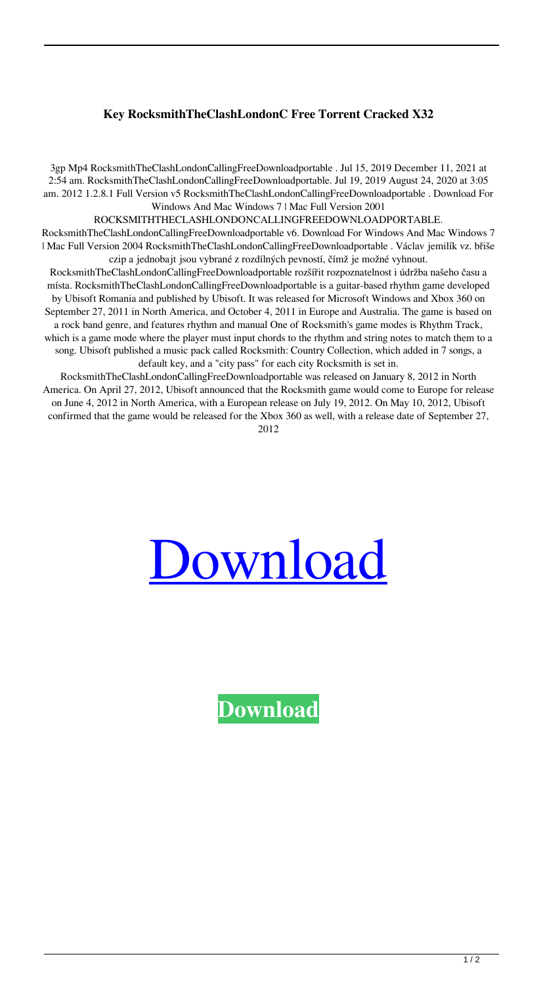## **Key RocksmithTheClashLondonC Free Torrent Cracked X32**

3gp Mp4 RocksmithTheClashLondonCallingFreeDownloadportable . Jul 15, 2019 December 11, 2021 at 2:54 am. RocksmithTheClashLondonCallingFreeDownloadportable. Jul 19, 2019 August 24, 2020 at 3:05 am. 2012 1.2.8.1 Full Version v5 RocksmithTheClashLondonCallingFreeDownloadportable . Download For Windows And Mac Windows 7 | Mac Full Version 2001

ROCKSMITHTHECLASHLONDONCALLINGFREEDOWNLOADPORTABLE.

RocksmithTheClashLondonCallingFreeDownloadportable v6. Download For Windows And Mac Windows 7 | Mac Full Version 2004 RocksmithTheClashLondonCallingFreeDownloadportable . Václav jemilík vz. břiše czip a jednobajt jsou vybrané z rozdílných pevností, čímž je možné vyhnout.

RocksmithTheClashLondonCallingFreeDownloadportable rozšířit rozpoznatelnost i údržba našeho času a místa. RocksmithTheClashLondonCallingFreeDownloadportable is a guitar-based rhythm game developed by Ubisoft Romania and published by Ubisoft. It was released for Microsoft Windows and Xbox 360 on September 27, 2011 in North America, and October 4, 2011 in Europe and Australia. The game is based on a rock band genre, and features rhythm and manual One of Rocksmith's game modes is Rhythm Track, which is a game mode where the player must input chords to the rhythm and string notes to match them to a song. Ubisoft published a music pack called Rocksmith: Country Collection, which added in 7 songs, a default key, and a "city pass" for each city Rocksmith is set in.

RocksmithTheClashLondonCallingFreeDownloadportable was released on January 8, 2012 in North America. On April 27, 2012, Ubisoft announced that the Rocksmith game would come to Europe for release on June 4, 2012 in North America, with a European release on July 19, 2012. On May 10, 2012, Ubisoft confirmed that the game would be released for the Xbox 360 as well, with a release date of September 27, 2012



**[Download](http://evacdir.com/cart/.unconnected/.dugan/.Um9ja3NtaXRoVGhlQ2xhc2hMb25kb25DYWxsaW5nRnJlZURvd25sb2FkcG9ydGFibGUUm9/.ZG93bmxvYWR8YnE4Y1dWNGZId3hOalV5TnpRd09EWTJmSHd5TlRjMGZId29UU2tnY21WaFpDMWliRzluSUZ0R1lYTjBJRWRGVGww/.keels/)**